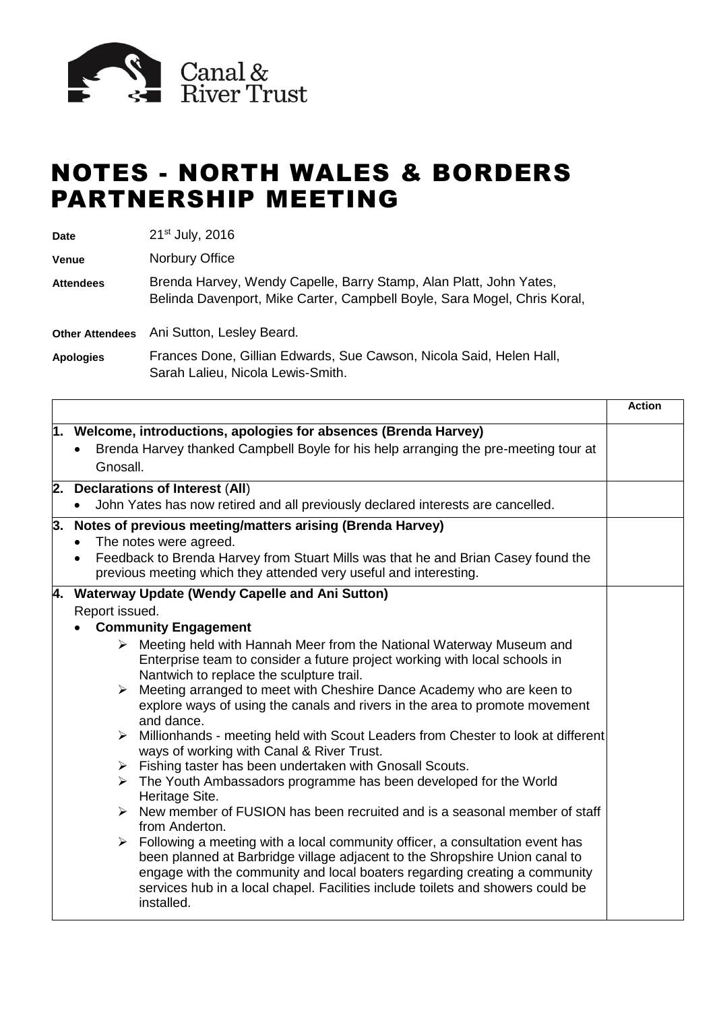

## NOTES - NORTH WALES & BORDERS PARTNERSHIP MEETING

**Date** 21st July, 2016

**Venue** Norbury Office

**Attendees** Brenda Harvey, Wendy Capelle, Barry Stamp, Alan Platt, John Yates, Belinda Davenport, Mike Carter, Campbell Boyle, Sara Mogel, Chris Koral,

**Other Attendees** Ani Sutton, Lesley Beard.

**Apologies** Frances Done, Gillian Edwards, Sue Cawson, Nicola Said, Helen Hall, Sarah Lalieu, Nicola Lewis-Smith.

|                 |                                                                                                                                                                                                                                                                                                                                                                                                                                                                                                                                                                                                                                                                                                                                                                                                                                                                                                                                                                                                                                                                                                                                                                                                                                                                                               | <b>Action</b> |
|-----------------|-----------------------------------------------------------------------------------------------------------------------------------------------------------------------------------------------------------------------------------------------------------------------------------------------------------------------------------------------------------------------------------------------------------------------------------------------------------------------------------------------------------------------------------------------------------------------------------------------------------------------------------------------------------------------------------------------------------------------------------------------------------------------------------------------------------------------------------------------------------------------------------------------------------------------------------------------------------------------------------------------------------------------------------------------------------------------------------------------------------------------------------------------------------------------------------------------------------------------------------------------------------------------------------------------|---------------|
| Gnosall.        | 1. Welcome, introductions, apologies for absences (Brenda Harvey)<br>Brenda Harvey thanked Campbell Boyle for his help arranging the pre-meeting tour at                                                                                                                                                                                                                                                                                                                                                                                                                                                                                                                                                                                                                                                                                                                                                                                                                                                                                                                                                                                                                                                                                                                                      |               |
|                 | 2. Declarations of Interest (All)<br>John Yates has now retired and all previously declared interests are cancelled.                                                                                                                                                                                                                                                                                                                                                                                                                                                                                                                                                                                                                                                                                                                                                                                                                                                                                                                                                                                                                                                                                                                                                                          |               |
| 3.<br>$\bullet$ | Notes of previous meeting/matters arising (Brenda Harvey)<br>The notes were agreed.<br>Feedback to Brenda Harvey from Stuart Mills was that he and Brian Casey found the<br>previous meeting which they attended very useful and interesting.                                                                                                                                                                                                                                                                                                                                                                                                                                                                                                                                                                                                                                                                                                                                                                                                                                                                                                                                                                                                                                                 |               |
| Report issued.  | 4. Waterway Update (Wendy Capelle and Ani Sutton)<br><b>Community Engagement</b><br>$\triangleright$ Meeting held with Hannah Meer from the National Waterway Museum and<br>Enterprise team to consider a future project working with local schools in<br>Nantwich to replace the sculpture trail.<br>$\triangleright$ Meeting arranged to meet with Cheshire Dance Academy who are keen to<br>explore ways of using the canals and rivers in the area to promote movement<br>and dance.<br>> Millionhands - meeting held with Scout Leaders from Chester to look at different<br>ways of working with Canal & River Trust.<br>$\triangleright$ Fishing taster has been undertaken with Gnosall Scouts.<br>$\triangleright$ The Youth Ambassadors programme has been developed for the World<br>Heritage Site.<br>$\triangleright$ New member of FUSION has been recruited and is a seasonal member of staff<br>from Anderton.<br>$\triangleright$ Following a meeting with a local community officer, a consultation event has<br>been planned at Barbridge village adjacent to the Shropshire Union canal to<br>engage with the community and local boaters regarding creating a community<br>services hub in a local chapel. Facilities include toilets and showers could be<br>installed. |               |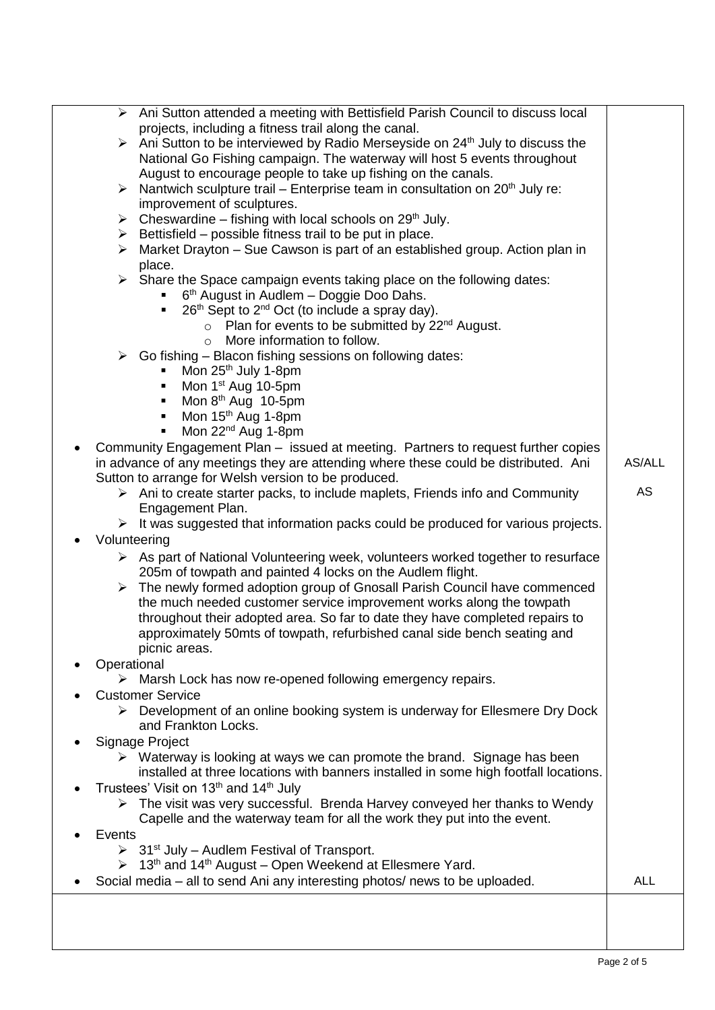|               | > Ani Sutton attended a meeting with Bettisfield Parish Council to discuss local                          |            |
|---------------|-----------------------------------------------------------------------------------------------------------|------------|
|               | projects, including a fitness trail along the canal.                                                      |            |
|               | $\triangleright$ Ani Sutton to be interviewed by Radio Merseyside on 24 <sup>th</sup> July to discuss the |            |
|               | National Go Fishing campaign. The waterway will host 5 events throughout                                  |            |
|               | August to encourage people to take up fishing on the canals.                                              |            |
|               | $\triangleright$ Nantwich sculpture trail – Enterprise team in consultation on 20 <sup>th</sup> July re:  |            |
|               | improvement of sculptures.                                                                                |            |
|               | $\triangleright$ Cheswardine – fishing with local schools on 29 <sup>th</sup> July.                       |            |
|               | $\triangleright$ Bettisfield – possible fitness trail to be put in place.                                 |            |
| ➤             | Market Drayton - Sue Cawson is part of an established group. Action plan in                               |            |
|               | place.                                                                                                    |            |
|               | $\triangleright$ Share the Space campaign events taking place on the following dates:                     |            |
|               | $\bullet$ 6 <sup>th</sup> August in Audlem – Doggie Doo Dahs.                                             |            |
|               | 26 <sup>th</sup> Sept to 2 <sup>nd</sup> Oct (to include a spray day).<br>$\blacksquare$                  |            |
|               | $\circ$ Plan for events to be submitted by 22 <sup>nd</sup> August.                                       |            |
|               | More information to follow.<br>$\circ$                                                                    |            |
|               | $\triangleright$ Go fishing – Blacon fishing sessions on following dates:                                 |            |
|               | Mon $25th$ July 1-8pm                                                                                     |            |
|               | Mon 1 <sup>st</sup> Aug 10-5pm                                                                            |            |
|               | Mon 8 <sup>th</sup> Aug 10-5pm<br>٠                                                                       |            |
|               | Mon 15 <sup>th</sup> Aug 1-8pm<br>٠                                                                       |            |
|               | Mon 22 <sup>nd</sup> Aug 1-8pm<br>٠                                                                       |            |
|               |                                                                                                           |            |
|               | Community Engagement Plan - issued at meeting. Partners to request further copies                         | AS/ALL     |
|               | in advance of any meetings they are attending where these could be distributed. Ani                       |            |
|               | Sutton to arrange for Welsh version to be produced.                                                       | <b>AS</b>  |
|               | $\triangleright$ Ani to create starter packs, to include maplets, Friends info and Community              |            |
|               | Engagement Plan.                                                                                          |            |
|               | $\triangleright$ It was suggested that information packs could be produced for various projects.          |            |
| Volunteering  |                                                                                                           |            |
|               | $\triangleright$ As part of National Volunteering week, volunteers worked together to resurface           |            |
|               | 205m of towpath and painted 4 locks on the Audlem flight.                                                 |            |
| ➤             | The newly formed adoption group of Gnosall Parish Council have commenced                                  |            |
|               | the much needed customer service improvement works along the towpath                                      |            |
|               | throughout their adopted area. So far to date they have completed repairs to                              |            |
|               | approximately 50mts of towpath, refurbished canal side bench seating and                                  |            |
|               | picnic areas.                                                                                             |            |
| Operational   |                                                                                                           |            |
|               | $\triangleright$ Marsh Lock has now re-opened following emergency repairs.                                |            |
|               | <b>Customer Service</b>                                                                                   |            |
|               | $\triangleright$ Development of an online booking system is underway for Ellesmere Dry Dock               |            |
|               | and Frankton Locks.                                                                                       |            |
|               | Signage Project                                                                                           |            |
|               | $\triangleright$ Waterway is looking at ways we can promote the brand. Signage has been                   |            |
|               | installed at three locations with banners installed in some high footfall locations.                      |            |
|               | Trustees' Visit on 13th and 14th July                                                                     |            |
|               | $\triangleright$ The visit was very successful. Brenda Harvey conveyed her thanks to Wendy                |            |
|               | Capelle and the waterway team for all the work they put into the event.                                   |            |
| <b>Events</b> |                                                                                                           |            |
|               | $\triangleright$ 31 <sup>st</sup> July – Audlem Festival of Transport.                                    |            |
|               | $\triangleright$ 13 <sup>th</sup> and 14 <sup>th</sup> August – Open Weekend at Ellesmere Yard.           |            |
|               | Social media – all to send Ani any interesting photos/ news to be uploaded.                               | <b>ALL</b> |
|               |                                                                                                           |            |
|               |                                                                                                           |            |
|               |                                                                                                           |            |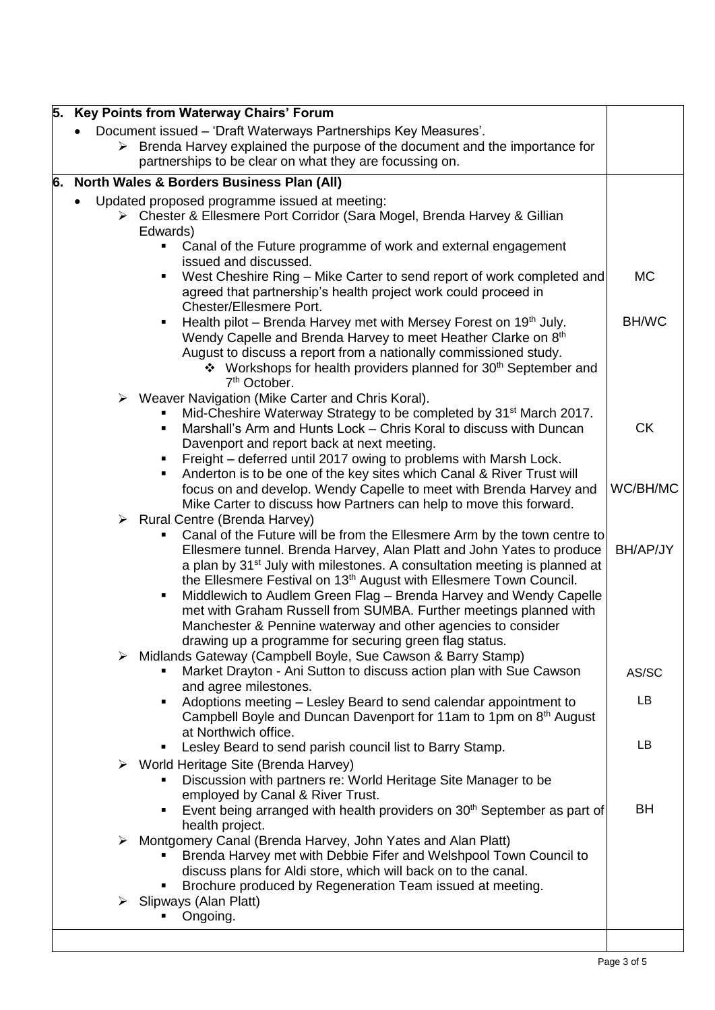| 5. Key Points from Waterway Chairs' Forum                                                                                                                                                                                                                                                                                                                                                                                                                                                                                                                                                                                                                   |                 |
|-------------------------------------------------------------------------------------------------------------------------------------------------------------------------------------------------------------------------------------------------------------------------------------------------------------------------------------------------------------------------------------------------------------------------------------------------------------------------------------------------------------------------------------------------------------------------------------------------------------------------------------------------------------|-----------------|
| Document issued - 'Draft Waterways Partnerships Key Measures'.<br>$\triangleright$ Brenda Harvey explained the purpose of the document and the importance for<br>partnerships to be clear on what they are focussing on.                                                                                                                                                                                                                                                                                                                                                                                                                                    |                 |
| 6. North Wales & Borders Business Plan (All)                                                                                                                                                                                                                                                                                                                                                                                                                                                                                                                                                                                                                |                 |
| Updated proposed programme issued at meeting:<br>Chester & Ellesmere Port Corridor (Sara Mogel, Brenda Harvey & Gillian<br>Edwards)<br>Canal of the Future programme of work and external engagement<br>$\blacksquare$                                                                                                                                                                                                                                                                                                                                                                                                                                      |                 |
| issued and discussed.<br>West Cheshire Ring - Mike Carter to send report of work completed and<br>٠<br>agreed that partnership's health project work could proceed in<br><b>Chester/Ellesmere Port.</b>                                                                                                                                                                                                                                                                                                                                                                                                                                                     | <b>MC</b>       |
| Health pilot – Brenda Harvey met with Mersey Forest on 19 <sup>th</sup> July.<br>٠<br>Wendy Capelle and Brenda Harvey to meet Heather Clarke on 8th<br>August to discuss a report from a nationally commissioned study.<br>❖ Workshops for health providers planned for 30 <sup>th</sup> September and<br>7 <sup>th</sup> October.                                                                                                                                                                                                                                                                                                                          | <b>BH/WC</b>    |
| ▶ Weaver Navigation (Mike Carter and Chris Koral).<br>Mid-Cheshire Waterway Strategy to be completed by 31 <sup>st</sup> March 2017.<br>Marshall's Arm and Hunts Lock - Chris Koral to discuss with Duncan<br>٠<br>Davenport and report back at next meeting.<br>Freight – deferred until 2017 owing to problems with Marsh Lock.<br>٠                                                                                                                                                                                                                                                                                                                      | <b>CK</b>       |
| Anderton is to be one of the key sites which Canal & River Trust will<br>٠<br>focus on and develop. Wendy Capelle to meet with Brenda Harvey and<br>Mike Carter to discuss how Partners can help to move this forward.                                                                                                                                                                                                                                                                                                                                                                                                                                      | WC/BH/MC        |
| $\triangleright$ Rural Centre (Brenda Harvey)<br>Canal of the Future will be from the Ellesmere Arm by the town centre to<br>٠<br>Ellesmere tunnel. Brenda Harvey, Alan Platt and John Yates to produce<br>a plan by 31 <sup>st</sup> July with milestones. A consultation meeting is planned at<br>the Ellesmere Festival on 13 <sup>th</sup> August with Ellesmere Town Council.<br>Middlewich to Audlem Green Flag - Brenda Harvey and Wendy Capelle<br>٠<br>met with Graham Russell from SUMBA. Further meetings planned with<br>Manchester & Pennine waterway and other agencies to consider<br>drawing up a programme for securing green flag status. | BH/AP/JY        |
| Midlands Gateway (Campbell Boyle, Sue Cawson & Barry Stamp)<br>$\blacktriangleright$<br>Market Drayton - Ani Sutton to discuss action plan with Sue Cawson<br>and agree milestones.                                                                                                                                                                                                                                                                                                                                                                                                                                                                         | AS/SC           |
| Adoptions meeting - Lesley Beard to send calendar appointment to<br>٠<br>Campbell Boyle and Duncan Davenport for 11am to 1pm on 8 <sup>th</sup> August<br>at Northwich office.                                                                                                                                                                                                                                                                                                                                                                                                                                                                              | LB              |
| Lesley Beard to send parish council list to Barry Stamp.<br>٠<br>World Heritage Site (Brenda Harvey)<br>➤<br>Discussion with partners re: World Heritage Site Manager to be<br>employed by Canal & River Trust.<br>Event being arranged with health providers on 30 <sup>th</sup> September as part of<br>٠                                                                                                                                                                                                                                                                                                                                                 | LB<br><b>BH</b> |
| health project.<br>Montgomery Canal (Brenda Harvey, John Yates and Alan Platt)<br>➤<br>Brenda Harvey met with Debbie Fifer and Welshpool Town Council to<br>discuss plans for Aldi store, which will back on to the canal.<br>Brochure produced by Regeneration Team issued at meeting.                                                                                                                                                                                                                                                                                                                                                                     |                 |
| Slipways (Alan Platt)<br>≻<br>Ongoing.                                                                                                                                                                                                                                                                                                                                                                                                                                                                                                                                                                                                                      |                 |
|                                                                                                                                                                                                                                                                                                                                                                                                                                                                                                                                                                                                                                                             |                 |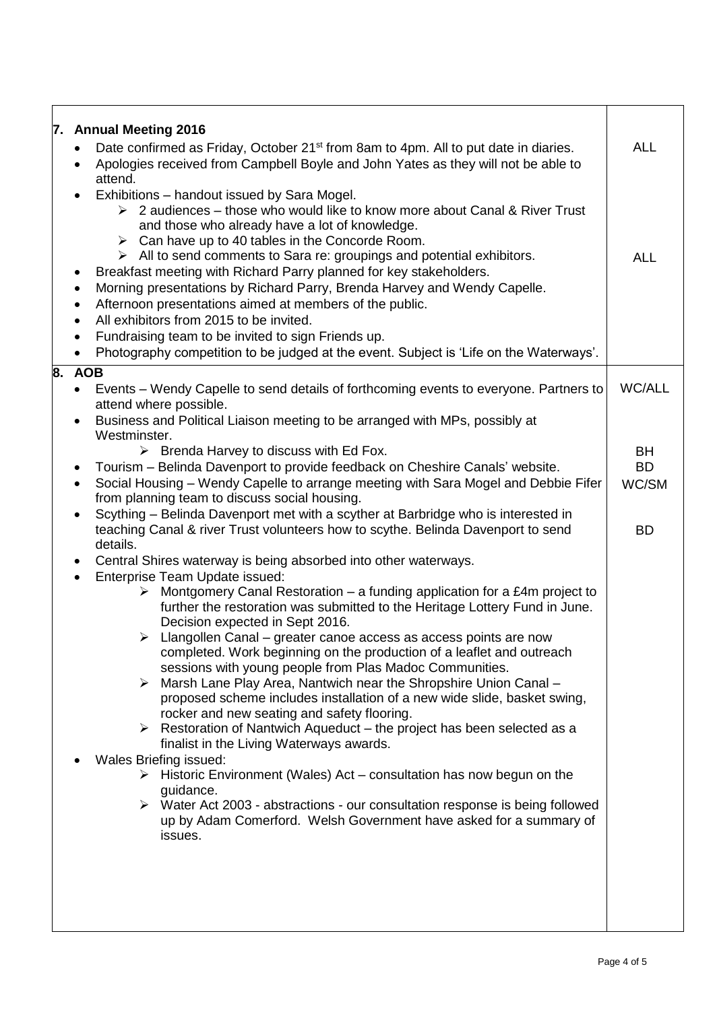| 7. Annual Meeting 2016<br>Date confirmed as Friday, October 21 <sup>st</sup> from 8am to 4pm. All to put date in diaries.<br>Apologies received from Campbell Boyle and John Yates as they will not be able to<br>attend.                                                                                                                                                                                                                                                                                                                                                                                                                                                                                                                                                                                                                                                                                                                                                                                                                                                                   | <b>ALL</b>                                                                                                                                                                                                                                                                                                                                     |
|---------------------------------------------------------------------------------------------------------------------------------------------------------------------------------------------------------------------------------------------------------------------------------------------------------------------------------------------------------------------------------------------------------------------------------------------------------------------------------------------------------------------------------------------------------------------------------------------------------------------------------------------------------------------------------------------------------------------------------------------------------------------------------------------------------------------------------------------------------------------------------------------------------------------------------------------------------------------------------------------------------------------------------------------------------------------------------------------|------------------------------------------------------------------------------------------------------------------------------------------------------------------------------------------------------------------------------------------------------------------------------------------------------------------------------------------------|
| Exhibitions - handout issued by Sara Mogel.<br>$\triangleright$ 2 audiences – those who would like to know more about Canal & River Trust<br>and those who already have a lot of knowledge.<br>$\triangleright$ Can have up to 40 tables in the Concorde Room.<br>$\triangleright$ All to send comments to Sara re: groupings and potential exhibitors.<br>Breakfast meeting with Richard Parry planned for key stakeholders.<br>Morning presentations by Richard Parry, Brenda Harvey and Wendy Capelle.<br>Afternoon presentations aimed at members of the public.<br>All exhibitors from 2015 to be invited.<br>Fundraising team to be invited to sign Friends up.<br>Photography competition to be judged at the event. Subject is 'Life on the Waterways'.                                                                                                                                                                                                                                                                                                                             | <b>ALL</b>                                                                                                                                                                                                                                                                                                                                     |
| 8. AOB                                                                                                                                                                                                                                                                                                                                                                                                                                                                                                                                                                                                                                                                                                                                                                                                                                                                                                                                                                                                                                                                                      |                                                                                                                                                                                                                                                                                                                                                |
|                                                                                                                                                                                                                                                                                                                                                                                                                                                                                                                                                                                                                                                                                                                                                                                                                                                                                                                                                                                                                                                                                             | <b>WC/ALL</b>                                                                                                                                                                                                                                                                                                                                  |
| Business and Political Liaison meeting to be arranged with MPs, possibly at                                                                                                                                                                                                                                                                                                                                                                                                                                                                                                                                                                                                                                                                                                                                                                                                                                                                                                                                                                                                                 |                                                                                                                                                                                                                                                                                                                                                |
| Westminster.                                                                                                                                                                                                                                                                                                                                                                                                                                                                                                                                                                                                                                                                                                                                                                                                                                                                                                                                                                                                                                                                                |                                                                                                                                                                                                                                                                                                                                                |
|                                                                                                                                                                                                                                                                                                                                                                                                                                                                                                                                                                                                                                                                                                                                                                                                                                                                                                                                                                                                                                                                                             | <b>BH</b><br><b>BD</b>                                                                                                                                                                                                                                                                                                                         |
| Social Housing - Wendy Capelle to arrange meeting with Sara Mogel and Debbie Fifer                                                                                                                                                                                                                                                                                                                                                                                                                                                                                                                                                                                                                                                                                                                                                                                                                                                                                                                                                                                                          | WC/SM                                                                                                                                                                                                                                                                                                                                          |
| from planning team to discuss social housing.                                                                                                                                                                                                                                                                                                                                                                                                                                                                                                                                                                                                                                                                                                                                                                                                                                                                                                                                                                                                                                               |                                                                                                                                                                                                                                                                                                                                                |
| teaching Canal & river Trust volunteers how to scythe. Belinda Davenport to send<br>details.                                                                                                                                                                                                                                                                                                                                                                                                                                                                                                                                                                                                                                                                                                                                                                                                                                                                                                                                                                                                | <b>BD</b>                                                                                                                                                                                                                                                                                                                                      |
| Central Shires waterway is being absorbed into other waterways.                                                                                                                                                                                                                                                                                                                                                                                                                                                                                                                                                                                                                                                                                                                                                                                                                                                                                                                                                                                                                             |                                                                                                                                                                                                                                                                                                                                                |
| Enterprise Team Update issued:<br>Montgomery Canal Restoration – a funding application for a £4m project to<br>➤<br>further the restoration was submitted to the Heritage Lottery Fund in June.<br>Decision expected in Sept 2016.<br>$\triangleright$ Llangollen Canal – greater canoe access as access points are now<br>completed. Work beginning on the production of a leaflet and outreach<br>sessions with young people from Plas Madoc Communities.<br>Marsh Lane Play Area, Nantwich near the Shropshire Union Canal -<br>≻<br>proposed scheme includes installation of a new wide slide, basket swing,<br>rocker and new seating and safety flooring.<br>Restoration of Nantwich Aqueduct - the project has been selected as a<br>≻<br>finalist in the Living Waterways awards.<br>Wales Briefing issued:<br>$\triangleright$ Historic Environment (Wales) Act – consultation has now begun on the<br>guidance.<br>> Water Act 2003 - abstractions - our consultation response is being followed<br>up by Adam Comerford. Welsh Government have asked for a summary of<br>issues. |                                                                                                                                                                                                                                                                                                                                                |
|                                                                                                                                                                                                                                                                                                                                                                                                                                                                                                                                                                                                                                                                                                                                                                                                                                                                                                                                                                                                                                                                                             | Events – Wendy Capelle to send details of forthcoming events to everyone. Partners to<br>attend where possible.<br>$\triangleright$ Brenda Harvey to discuss with Ed Fox.<br>Tourism - Belinda Davenport to provide feedback on Cheshire Canals' website.<br>Scything - Belinda Davenport met with a scyther at Barbridge who is interested in |